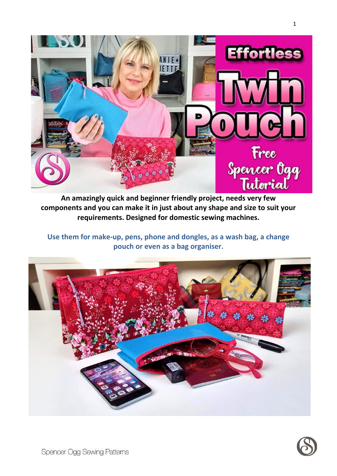

**An amazingly quick and beginner friendly project, needs very few components and you can make it in just about any shape and size to suit your requirements. Designed for domestic sewing machines.**

**Use them for make-up, pens, phone and dongles, as a wash bag, a change pouch or even as a bag organiser.**





1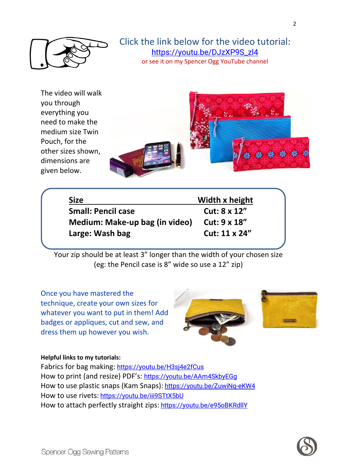

## Click the link below for the video tutorial: [https://youtu.be/DJzXP9S\\_zl4](https://youtu.be/DJzXP9S_zl4) or see it on my Spencer Ogg YouTube channel

The video will walk you through everything you need to make the medium size Twin Pouch, for the other sizes shown, dimensions are given below.



| <b>Size</b>                    | Width x height |
|--------------------------------|----------------|
| <b>Small: Pencil case</b>      | Cut: 8 x 12"   |
| Medium: Make-up bag (in video) | Cut: 9 x 18"   |
| Large: Wash bag                | Cut: 11 x 24"  |

Your zip should be at least 3" longer than the width of your chosen size (eg: the Pencil case is 8" wide so use a 12" zip)

Once you have mastered the technique, create your own sizes for whatever you want to put in them! Add badges or appliques, cut and sew, and dress them up however you wish.





## **Helpful links to my tutorials:**

Fabrics for bag making: <https://youtu.be/H3sj4e2fCus> How to print (and resize) PDF's: <https://youtu.be/AAm4SkbyEGg> How to use plastic snaps (Kam Snaps): <https://youtu.be/ZuwiNg-eKW4> How to use rivets: <https://youtu.be/iii9STtX5bU> How to attach perfectly straight zips: <https://youtu.be/e95oBKRdllY>